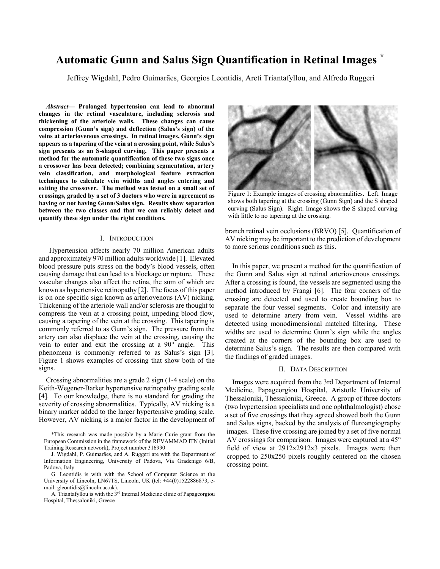# **Automatic Gunn and Salus Sign Quantification in Retinal Images**

Jeffrey Wigdahl, Pedro Guimarães, Georgios Leontidis, Areti Triantafyllou, and Alfredo Ruggeri

*Abstract*— Prolonged hypertension can lead to abnormal changes in the retinal vasculature, including sclerosis and thickening of the arteriole walls. These changes can cause compression (Gunn's sign) and deflection (Salus's sign) of the veins at arteriovenous crossings. In retinal images, Gunn's sign appears as a tapering of the vein at a crossing point, while Salus's sign presents as an S-shaped curving. This paper presents a method for the automatic quantification of these two signs once a crossover has been detected; combining segmentation, artery vein classification, and morphological feature extraction techniques to calculate vein widths and angles entering and exiting the crossover. The method was tested on a small set of crossings, graded by a set of 3 doctors who were in agreement as having or not having Gunn/Salus sign. Results show separation between the two classes and that we can reliably detect and quantify these sign under the right conditions.

### I. INTRODUCTION

Hypertension affects nearly 70 million American adults and approximately 970 million adults worldwide [1]. Elevated blood pressure puts stress on the body's blood vessels, often causing damage that can lead to a blockage or rupture. These vascular changes also affect the retina, the sum of which are known as hypertensive retinopathy [2]. The focus of this paper is on one specific sign known as arteriovenous (AV) nicking. Thickening of the arteriole wall and/or sclerosis are thought to compress the vein at a crossing point, impeding blood flow, causing a tapering of the vein at the crossing. This tapering is commonly referred to as Gunn's sign. The pressure from the artery can also displace the vein at the crossing, causing the vein to enter and exit the crossing at a  $90^{\circ}$  angle. This phenomena is commonly referred to as Salus's sign [3]. Figure 1 shows examples of crossing that show both of the signs.

Crossing abnormalities are a grade 2 sign (1-4 scale) on the Keith-Wegener-Barker hypertensive retinopathy grading scale [4]. To our knowledge, there is no standard for grading the severity of crossing abnormalities. Typically, AV nicking is a binary marker added to the larger hypertensive grading scale. However, AV nicking is a major factor in the development of



Figure 1: Example images of crossing abnormalities. Left. Image shows both tapering at the crossing (Gunn Sign) and the S shaped curving (Salus Sign). Right. Image shows the S shaped curving with little to no tapering at the crossing.

branch retinal vein occlusions (BRVO) [5]. Quantification of AV nicking may be important to the prediction of development to more serious conditions such as this.

In this paper, we present a method for the quantification of the Gunn and Salus sign at retinal arteriovenous crossings. After a crossing is found, the vessels are segmented using the method introduced by Frangi [6]. The four corners of the crossing are detected and used to create bounding box to separate the four vessel segments. Color and intensity are used to determine artery from vein. Vessel widths are detected using monodimensional matched filtering. These widths are used to determine Gunn's sign while the angles created at the corners of the bounding box are used to determine Salus's sign. The results are then compared with the findings of graded images.

#### **II. DATA DESCRIPTION**

Images were acquired from the 3rd Department of Internal Medicine, Papageorgiou Hospital, Aristotle University of Thessaloniki, Thessaloniki, Greece. A group of three doctors (two hypertension specialists and one ophthalmologist) chose a set of five crossings that they agreed showed both the Gunn and Salus signs, backed by the analysis of fluroangiography images. These five crossing are joined by a set of five normal AV crossings for comparison. Images were captured at a  $45^{\circ}$ field of view at 2912x2912x3 pixels. Images were then cropped to 250x250 pixels roughly centered on the chosen crossing point.

<sup>\*</sup>This research was made possible by a Marie Curie grant from the European Commission in the framework of the REVAMMAD ITN (Initial Training Research network), Project number 316990

J. Wigdahl, P. Guimarães, and A. Ruggeri are with the Department of Information Engineering, University of Padova, Via Gradenigo 6/B, Padova, Italy

G. Leontidis is with with the School of Computer Science at the University of Lincoln, LN67TS, Lincoln, UK (tel: +44(0)1522886873, email: gleontidis@lincoln.ac.uk).

A. Triantafyllou is with the 3<sup>rd</sup> Internal Medicine clinic of Papageorgiou Hospital, Thessaloniki, Greece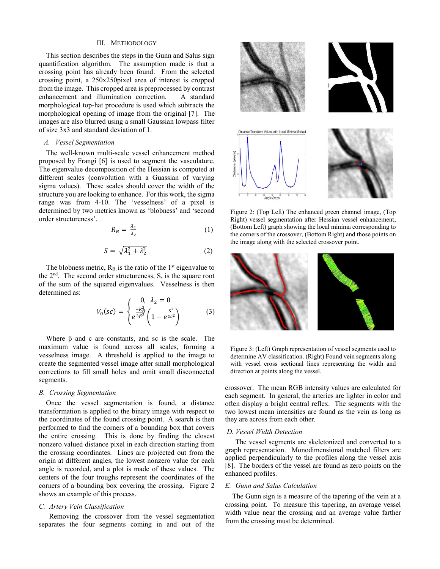#### III. METHODOLOGY

This section describes the steps in the Gunn and Salus sign quantification algorithm. The assumption made is that a crossing point has already been found. From the selected crossing point, a 250x250pixel area of interest is cropped from the image. This cropped area is preprocessed by contrast enhancement and illumination correction. A standard morphological top-hat procedure is used which subtracts the morphological opening of image from the original [7]. The images are also blurred using a small Gaussian lowpass filter of size 3x3 and standard deviation of 1.

# A. Vessel Segmentation

The well-known multi-scale vessel enhancement method proposed by Frangi [6] is used to segment the vasculature. The eigenvalue decomposition of the Hessian is computed at different scales (convolution with a Guassian of varying sigma values). These scales should cover the width of the structure you are looking to enhance. For this work, the sigma range was from 4-10. The 'vesselness' of a pixel is determined by two metrics known as 'blobness' and 'second order structureness'.

$$
R_B = \frac{\lambda_1}{\lambda_2} \tag{1}
$$

$$
S = \sqrt{\lambda_1^2 + \lambda_2^2} \tag{2}
$$

The blobness metric,  $R_B$  is the ratio of the 1<sup>st</sup> eigenvalue to the  $2<sup>nd</sup>$ . The second order structureness, S, is the square root of the sum of the squared eigenvalues. Vesselness is then determined as:

$$
V_0(sc) = \begin{cases} 0, & \lambda_2 = 0\\ e^{\frac{-R_B^2}{2B^2}} \left( 1 - e^{\frac{S^2}{2c^2}} \right) \end{cases}
$$
 (3)

Where  $\beta$  and c are constants, and sc is the scale. The maximum value is found across all scales, forming a vesselness image. A threshold is applied to the image to create the segmented vessel image after small morphological corrections to fill small holes and omit small disconnected segments.

### **B.** Crossing Segmentation

Once the vessel segmentation is found, a distance transformation is applied to the binary image with respect to the coordinates of the found crossing point. A search is then performed to find the corners of a bounding box that covers the entire crossing. This is done by finding the closest nonzero valued distance pixel in each direction starting from the crossing coordinates. Lines are projected out from the origin at different angles, the lowest nonzero value for each angle is recorded, and a plot is made of these values. The centers of the four troughs represent the coordinates of the corners of a bounding box covering the crossing. Figure 2 shows an example of this process.

## C. Artery Vein Classification

Removing the crossover from the vessel segmentation separates the four segments coming in and out of the



Figure 2: (Top Left) The enhanced green channel image, (Top Right) vessel segmentation after Hessian vessel enhancement, (Bottom Left) graph showing the local minima corresponding to the corners of the crossover, (Bottom Right) and those points on the image along with the selected crossover point.



Figure 3: (Left) Graph representation of vessel segments used to determine AV classification. (Right) Found vein segments along with vessel cross sectional lines representing the width and direction at points along the vessel.

crossover. The mean RGB intensity values are calculated for each segment. In general, the arteries are lighter in color and often display a bright central reflex. The segments with the two lowest mean intensities are found as the vein as long as they are across from each other.

#### D. Vessel Width Detection

The vessel segments are skeletonized and converted to a graph representation. Monodimensional matched filters are applied perpendicularly to the profiles along the vessel axis [8]. The borders of the vessel are found as zero points on the enhanced profiles.

## E. Gunn and Salus Calculation

The Gunn sign is a measure of the tapering of the vein at a crossing point. To measure this tapering, an average vessel width value near the crossing and an average value farther from the crossing must be determined.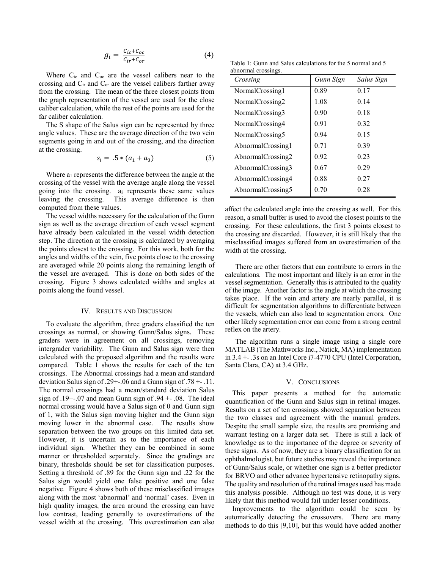$$
g_i = \frac{c_{ic} + c_{oc}}{c_{ir} + c_{or}} \tag{4}
$$

Where  $C_{ic}$  and  $C_{oc}$  are the vessel calibers near to the crossing and  $C_{ir}$  and  $C_{or}$  are the vessel calibers farther away from the crossing. The mean of the three closest points from the graph representation of the vessel are used for the close caliber calculation, while the rest of the points are used for the far caliber calculation.

The S shape of the Salus sign can be represented by three angle values. These are the average direction of the two vein segments going in and out of the crossing, and the direction at the crossing.

$$
s_i = .5 * (a_1 + a_3) \tag{5}
$$

Where  $a_1$  represents the difference between the angle at the crossing of the vessel with the average angle along the vessel going into the crossing. a<sub>3</sub> represents these same values leaving the crossing. This average difference is then computed from these values.

The vessel widths necessary for the calculation of the Gunn sign as well as the average direction of each vessel segment have already been calculated in the vessel width detection step. The direction at the crossing is calculated by averaging the points closest to the crossing. For this work, both for the angles and widths of the vein, five points close to the crossing are averaged while 20 points along the remaining length of the vessel are averaged. This is done on both sides of the crossing. Figure 3 shows calculated widths and angles at points along the found vessel.

### IV. RESULTS AND DISCUSSION

To evaluate the algorithm, three graders classified the ten crossings as normal, or showing Gunn/Salus signs. These graders were in agreement on all crossings, removing intergrader variability. The Gunn and Salus sign were then calculated with the proposed algorithm and the results were compared. Table 1 shows the results for each of the ten crossings. The Abnormal crossings had a mean and standard deviation Salus sign of .29+-.06 and a Gunn sign of .78 +-.11. The normal crossings had a mean/standard deviation Salus sign of  $.19+-07$  and mean Gunn sign of  $.94+-08$ . The ideal normal crossing would have a Salus sign of 0 and Gunn sign of 1, with the Salus sign moving higher and the Gunn sign moving lower in the abnormal case. The results show separation between the two groups on this limited data set. However, it is uncertain as to the importance of each individual sign. Whether they can be combined in some manner or thresholded separately. Since the gradings are binary, thresholds should be set for classification purposes. Setting a threshold of .89 for the Gunn sign and .22 for the Salus sign would yield one false positive and one false negative. Figure 4 shows both of these misclassified images along with the most 'abnormal' and 'normal' cases. Even in high quality images, the area around the crossing can have low contrast, leading generally to overestimations of the vessel width at the crossing. This overestimation can also

Table 1: Gunn and Salus calculations for the 5 normal and 5 abnormal crossings.

| Crossing          | Gunn Sign | Salus Sign |
|-------------------|-----------|------------|
| NormalCrossing1   | 0.89      | 0.17       |
| NormalCrossing2   | 1.08      | 0.14       |
| NormalCrossing3   | 0.90      | 0.18       |
| NormalCrossing4   | 0.91      | 0.32       |
| NormalCrossing5   | 0.94      | 0.15       |
| AbnormalCrossing1 | 0.71      | 0.39       |
| AbnormalCrossing2 | 0.92      | 0.23       |
| AbnormalCrossing3 | 0.67      | 0.29       |
| AbnormalCrossing4 | 0.88      | 0.27       |
| AbnormalCrossing5 | 0.70      | 0.28       |

affect the calculated angle into the crossing as well. For this reason, a small buffer is used to avoid the closest points to the crossing. For these calculations, the first 3 points closest to the crossing are discarded. However, it is still likely that the misclassified images suffered from an overestimation of the width at the crossing.

There are other factors that can contribute to errors in the calculations. The most important and likely is an error in the vessel segmentation. Generally this is attributed to the quality of the image. Another factor is the angle at which the crossing takes place. If the vein and artery are nearly parallel, it is difficult for segmentation algorithms to differentiate between the vessels, which can also lead to segmentation errors. One other likely segmentation error can come from a strong central reflex on the artery.

The algorithm runs a single image using a single core MATLAB (The Mathworks Inc., Natick, MA) implementation in  $3.4 + 0.3$  on an Intel Core i  $7-4770$  CPU (Intel Corporation, Santa Clara, CA) at 3.4 GHz.

#### V. CONCLUSIONS

This paper presents a method for the automatic quantification of the Gunn and Salus sign in retinal images. Results on a set of ten crossings showed separation between the two classes and agreement with the manual graders. Despite the small sample size, the results are promising and warrant testing on a larger data set. There is still a lack of knowledge as to the importance of the degree or severity of these signs. As of now, they are a binary classification for an ophthalmologist, but future studies may reveal the importance of Gunn/Salus scale, or whether one sign is a better predictor for BRVO and other advance hypertensive retinopathy signs. The quality and resolution of the retinal images used has made this analysis possible. Although no test was done, it is very likely that this method would fail under lesser conditions.

Improvements to the algorithm could be seen by automatically detecting the crossovers. There are many methods to do this [9,10], but this would have added another